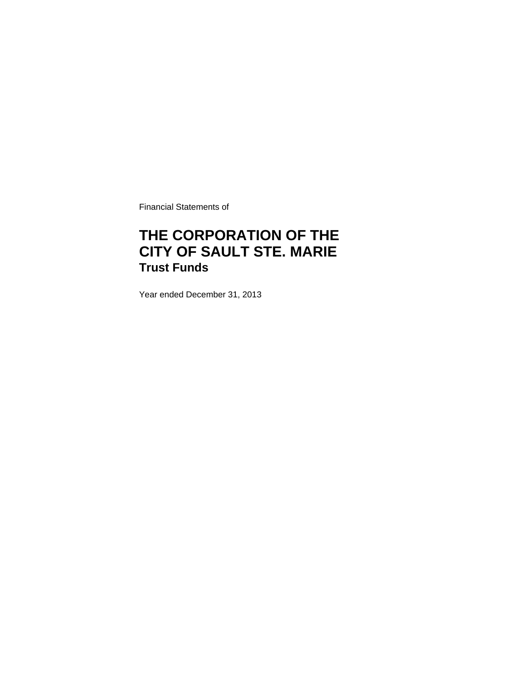Financial Statements of

# **THE CORPORATION OF THE CITY OF SAULT STE. MARIE Trust Funds**

Year ended December 31, 2013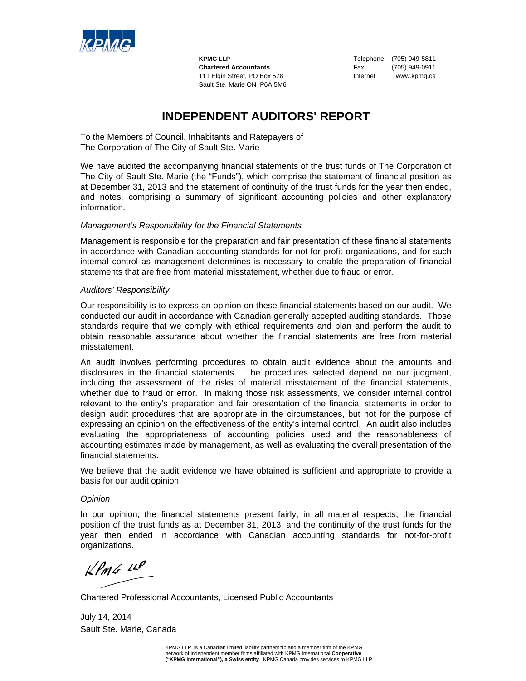

**KPMG LLP Telephone** (705) 949-5811 **Chartered Accountants** Fax (705) 949-0911 111 Elgin Street, PO Box 578 Internet www.kpmg.ca Sault Ste. Marie ON P6A 5M6

## **INDEPENDENT AUDITORS' REPORT**

To the Members of Council, Inhabitants and Ratepayers of The Corporation of The City of Sault Ste. Marie

We have audited the accompanying financial statements of the trust funds of The Corporation of The City of Sault Ste. Marie (the "Funds"), which comprise the statement of financial position as at December 31, 2013 and the statement of continuity of the trust funds for the year then ended, and notes, comprising a summary of significant accounting policies and other explanatory information.

### *Management's Responsibility for the Financial Statements*

Management is responsible for the preparation and fair presentation of these financial statements in accordance with Canadian accounting standards for not-for-profit organizations, and for such internal control as management determines is necessary to enable the preparation of financial statements that are free from material misstatement, whether due to fraud or error.

### *Auditors' Responsibility*

Our responsibility is to express an opinion on these financial statements based on our audit. We conducted our audit in accordance with Canadian generally accepted auditing standards. Those standards require that we comply with ethical requirements and plan and perform the audit to obtain reasonable assurance about whether the financial statements are free from material misstatement.

An audit involves performing procedures to obtain audit evidence about the amounts and disclosures in the financial statements. The procedures selected depend on our judgment, including the assessment of the risks of material misstatement of the financial statements, whether due to fraud or error. In making those risk assessments, we consider internal control relevant to the entity's preparation and fair presentation of the financial statements in order to design audit procedures that are appropriate in the circumstances, but not for the purpose of expressing an opinion on the effectiveness of the entity's internal control.An audit also includes evaluating the appropriateness of accounting policies used and the reasonableness of accounting estimates made by management, as well as evaluating the overall presentation of the financial statements.

We believe that the audit evidence we have obtained is sufficient and appropriate to provide a basis for our audit opinion.

### *Opinion*

In our opinion, the financial statements present fairly, in all material respects, the financial position of the trust funds as at December 31, 2013, and the continuity of the trust funds for the year then ended in accordance with Canadian accounting standards for not-for-profit organizations.

 $k$ *PMG*  $44$ 

Chartered Professional Accountants, Licensed Public Accountants

July 14, 2014 Sault Ste. Marie, Canada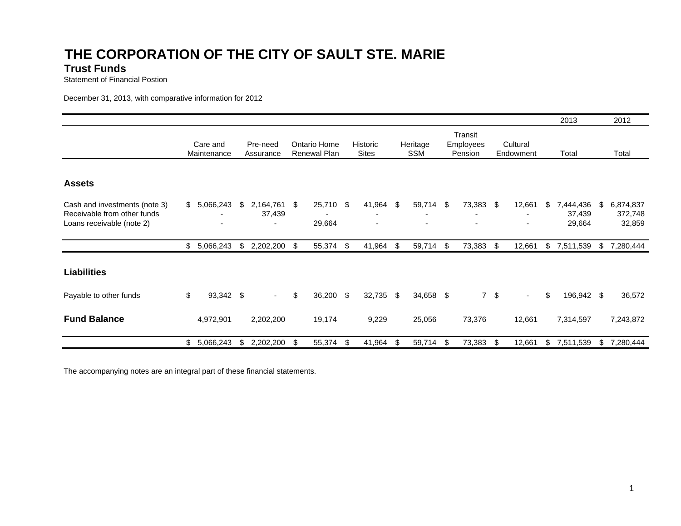# **THE CORPORATION OF THE CITY OF SAULT STE. MARI E**

### **Trust Funds**

Statement of Financial Postion

December 31, 2013, with comparative information for 2012

|                                                                                           |                |                         |    |                             |    |                              |      |                          |     |                        |     |                                 |           |                       |            | 2013                          |    | 2012                           |
|-------------------------------------------------------------------------------------------|----------------|-------------------------|----|-----------------------------|----|------------------------------|------|--------------------------|-----|------------------------|-----|---------------------------------|-----------|-----------------------|------------|-------------------------------|----|--------------------------------|
|                                                                                           |                | Care and<br>Maintenance |    | Pre-need<br>Assurance       |    | Ontario Home<br>Renewal Plan |      | Historic<br><b>Sites</b> |     | Heritage<br><b>SSM</b> |     | Transit<br>Employees<br>Pension |           | Cultural<br>Endowment |            | Total                         |    | Total                          |
|                                                                                           |                |                         |    |                             |    |                              |      |                          |     |                        |     |                                 |           |                       |            |                               |    |                                |
| <b>Assets</b>                                                                             |                |                         |    |                             |    |                              |      |                          |     |                        |     |                                 |           |                       |            |                               |    |                                |
| Cash and investments (note 3)<br>Receivable from other funds<br>Loans receivable (note 2) |                | \$5,066,243<br>۰        | \$ | 2,164,761 \$<br>37,439<br>٠ |    | 25,710<br>29,664             | - \$ | 41,964<br>٠<br>-         | -\$ | 59,714<br>٠            | -\$ | 73,383                          | - \$      | 12,661<br>٠<br>٠      | \$         | 7,444,436<br>37,439<br>29,664 | \$ | 6,874,837<br>372,748<br>32,859 |
|                                                                                           |                | \$5,066,243             | \$ | 2,202,200 \$                |    | 55,374 \$                    |      | 41,964                   | \$  | 59,714                 | -\$ | 73,383                          | - \$      | 12,661                | $\sqrt{3}$ | 7,511,539                     | \$ | 7,280,444                      |
| <b>Liabilities</b>                                                                        |                |                         |    |                             |    |                              |      |                          |     |                        |     |                                 |           |                       |            |                               |    |                                |
| Payable to other funds                                                                    | \$             | 93,342 \$               |    | $\sim$                      | \$ | 36,200                       | \$   | 32,735                   | \$  | 34,658 \$              |     |                                 | $7 \quad$ | $\sim$                | \$         | 196,942 \$                    |    | 36,572                         |
| <b>Fund Balance</b>                                                                       |                | 4,972,901               |    | 2,202,200                   |    | 19,174                       |      | 9,229                    |     | 25,056                 |     | 73,376                          |           | 12,661                |            | 7,314,597                     |    | 7,243,872                      |
|                                                                                           | $\mathfrak{S}$ | 5,066,243               | \$ | 2,202,200                   | \$ | 55,374                       | \$   | 41,964                   | \$  | 59,714                 | -\$ | 73,383                          | \$        | 12,661                |            | \$7,511,539                   | \$ | 7,280,444                      |

The accompanying notes are an integral part of these financial statements.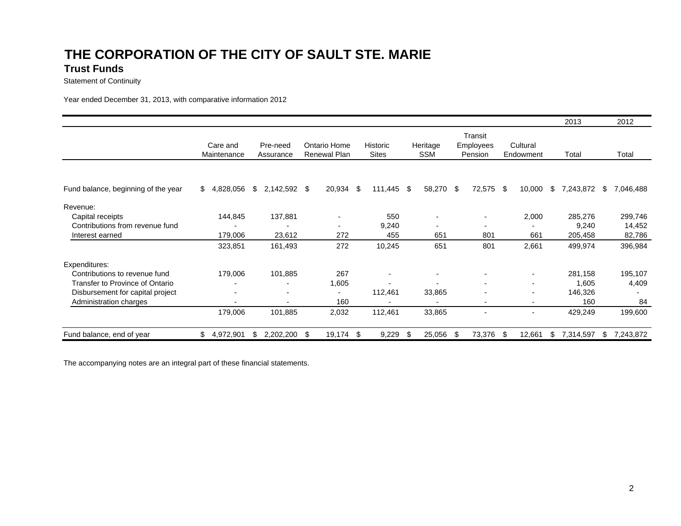### **THE CORPORATION OF THE CITY OF SAULT STE. MARI E Trust Funds**

Statement of Continuity

Year ended December 31, 2013, with comparative information 2012

|                                        |                         |                          |                              |                          |                          |                                        |                          | 2013             | 2012           |  |
|----------------------------------------|-------------------------|--------------------------|------------------------------|--------------------------|--------------------------|----------------------------------------|--------------------------|------------------|----------------|--|
|                                        | Care and<br>Maintenance | Pre-need<br>Assurance    | Ontario Home<br>Renewal Plan | Historic<br><b>Sites</b> | Heritage<br><b>SSM</b>   | Transit<br><b>Employees</b><br>Pension | Cultural<br>Endowment    | Total            | Total          |  |
|                                        |                         |                          |                              |                          |                          |                                        |                          |                  |                |  |
| Fund balance, beginning of the year    | S.<br>4,828,056         | \$.<br>2,142,592 \$      | 20,934                       | -\$<br>$111,445$ \$      | 58,270 \$                | 72,575                                 | 10,000<br>- \$           | \$.<br>7,243,872 | 7,046,488<br>S |  |
| Revenue:                               |                         |                          |                              |                          |                          |                                        |                          |                  |                |  |
| Capital receipts                       | 144,845                 | 137,881                  |                              | 550                      |                          | $\overline{\phantom{a}}$               | 2,000                    | 285,276          | 299,746        |  |
| Contributions from revenue fund        |                         |                          | $\overline{\phantom{a}}$     | 9,240                    | $\overline{\phantom{a}}$ | ۰                                      |                          | 9,240            | 14,452         |  |
| Interest earned                        | 179,006                 | 23,612                   | 272                          | 455                      | 651                      | 801                                    | 661                      | 205,458          | 82,786         |  |
|                                        | 323,851                 | 161,493                  | 272                          | 10,245                   | 651                      | 801                                    | 2,661                    | 499,974          | 396,984        |  |
| Expenditures:                          |                         |                          |                              |                          |                          |                                        |                          |                  |                |  |
| Contributions to revenue fund          | 179,006                 | 101,885                  | 267                          |                          | $\overline{\phantom{a}}$ | $\blacksquare$                         | $\overline{\phantom{a}}$ | 281,158          | 195,107        |  |
| <b>Transfer to Province of Ontario</b> |                         |                          | 1,605                        |                          |                          | $\overline{\phantom{a}}$               | $\blacksquare$           | 1,605            | 4,409          |  |
| Disbursement for capital project       |                         | $\overline{\phantom{a}}$ | $\overline{\phantom{a}}$     | 112,461                  | 33,865                   | $\blacksquare$                         |                          | 146,326          |                |  |
| Administration charges                 | ۰                       |                          | 160                          |                          | $\overline{\phantom{0}}$ | $\overline{\phantom{a}}$               | $\blacksquare$           | 160              | 84             |  |
|                                        | 179,006                 | 101,885                  | 2,032                        | 112,461                  | 33,865                   |                                        |                          | 429,249          | 199,600        |  |
| Fund balance, end of year              | \$<br>4,972,901         | 2,202,200<br>\$          | 19,174<br>S                  | 9,229<br>-\$             | 25,056<br>\$.            | 73,376<br>-SS                          | 12,661<br>\$.            | \$.<br>7,314,597 | 7,243,872<br>S |  |

The accompanying notes are an integral part of these financial statements.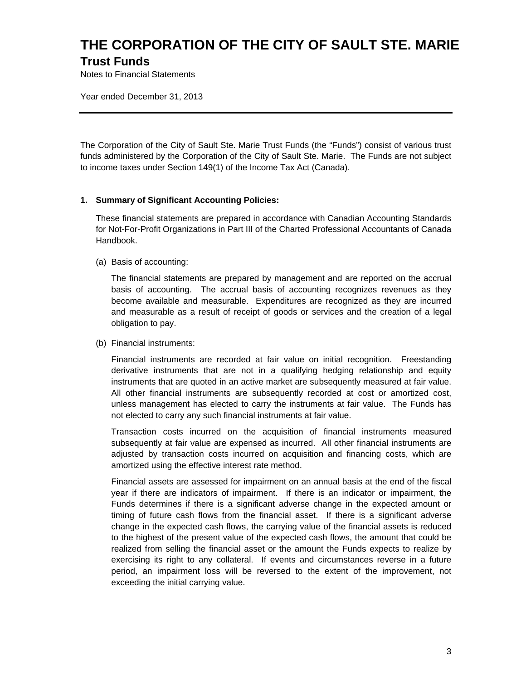# **THE CORPORATION OF THE CITY OF SAULT STE. MARIE Trust Funds**

Notes to Financial Statements

Year ended December 31, 2013

The Corporation of the City of Sault Ste. Marie Trust Funds (the "Funds") consist of various trust funds administered by the Corporation of the City of Sault Ste. Marie. The Funds are not subject to income taxes under Section 149(1) of the Income Tax Act (Canada).

### **1. Summary of Significant Accounting Policies:**

These financial statements are prepared in accordance with Canadian Accounting Standards for Not-For-Profit Organizations in Part III of the Charted Professional Accountants of Canada Handbook.

(a) Basis of accounting:

The financial statements are prepared by management and are reported on the accrual basis of accounting. The accrual basis of accounting recognizes revenues as they become available and measurable. Expenditures are recognized as they are incurred and measurable as a result of receipt of goods or services and the creation of a legal obligation to pay.

(b) Financial instruments:

Financial instruments are recorded at fair value on initial recognition. Freestanding derivative instruments that are not in a qualifying hedging relationship and equity instruments that are quoted in an active market are subsequently measured at fair value. All other financial instruments are subsequently recorded at cost or amortized cost, unless management has elected to carry the instruments at fair value. The Funds has not elected to carry any such financial instruments at fair value.

Transaction costs incurred on the acquisition of financial instruments measured subsequently at fair value are expensed as incurred. All other financial instruments are adjusted by transaction costs incurred on acquisition and financing costs, which are amortized using the effective interest rate method.

Financial assets are assessed for impairment on an annual basis at the end of the fiscal year if there are indicators of impairment. If there is an indicator or impairment, the Funds determines if there is a significant adverse change in the expected amount or timing of future cash flows from the financial asset. If there is a significant adverse change in the expected cash flows, the carrying value of the financial assets is reduced to the highest of the present value of the expected cash flows, the amount that could be realized from selling the financial asset or the amount the Funds expects to realize by exercising its right to any collateral. If events and circumstances reverse in a future period, an impairment loss will be reversed to the extent of the improvement, not exceeding the initial carrying value.